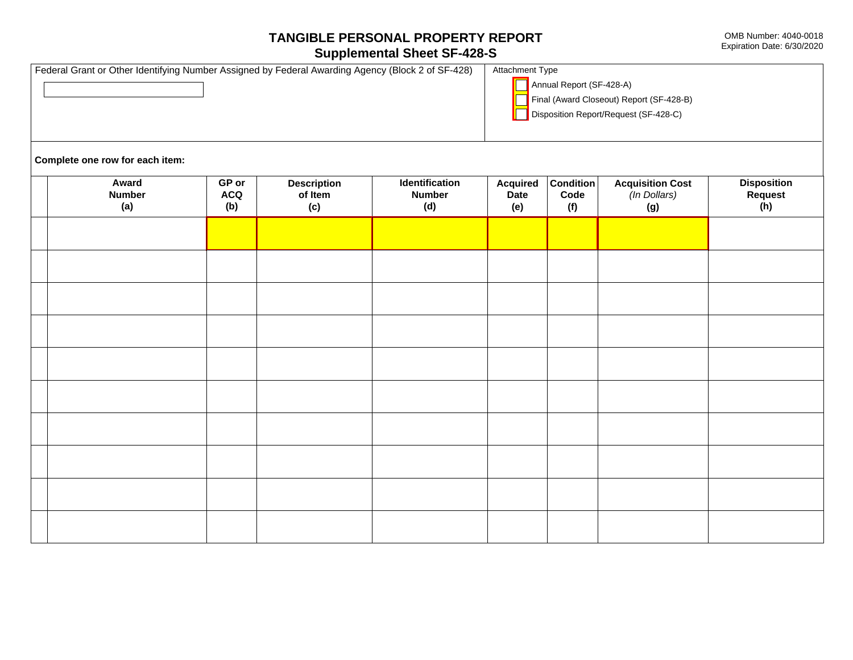## TANGIBLE PERSONAL PROPERTY REPORT

## **Supplemental Sheet SF-428-S**

| Federal Grant or Other Identifying Number Assigned by Federal Awarding Agency (Block 2 of SF-428) | <b>Attachment Type</b>                                                                                        |  |  |
|---------------------------------------------------------------------------------------------------|---------------------------------------------------------------------------------------------------------------|--|--|
|                                                                                                   | Annual Report (SF-428-A)<br>Final (Award Closeout) Report (SF-428-B)<br>Disposition Report/Request (SF-428-C) |  |  |
|                                                                                                   |                                                                                                               |  |  |

Complete one row for each item:

| Award<br><b>Number</b><br>(a) | $GP$ or<br><b>ACQ</b><br>(b) | <b>Description</b><br>of Item<br>(c) | Identification<br><b>Number</b><br>(d) | <b>Acquired</b><br>Date<br>(e) | <b>Condition</b><br>Code<br>(f) | <b>Acquisition Cost</b><br>(In Dollars)<br>(g) | Disposition<br>Request<br>(h) |
|-------------------------------|------------------------------|--------------------------------------|----------------------------------------|--------------------------------|---------------------------------|------------------------------------------------|-------------------------------|
|                               |                              |                                      |                                        |                                |                                 |                                                |                               |
|                               |                              |                                      |                                        |                                |                                 |                                                |                               |
|                               |                              |                                      |                                        |                                |                                 |                                                |                               |
|                               |                              |                                      |                                        |                                |                                 |                                                |                               |
|                               |                              |                                      |                                        |                                |                                 |                                                |                               |
|                               |                              |                                      |                                        |                                |                                 |                                                |                               |
|                               |                              |                                      |                                        |                                |                                 |                                                |                               |
|                               |                              |                                      |                                        |                                |                                 |                                                |                               |
|                               |                              |                                      |                                        |                                |                                 |                                                |                               |
|                               |                              |                                      |                                        |                                |                                 |                                                |                               |